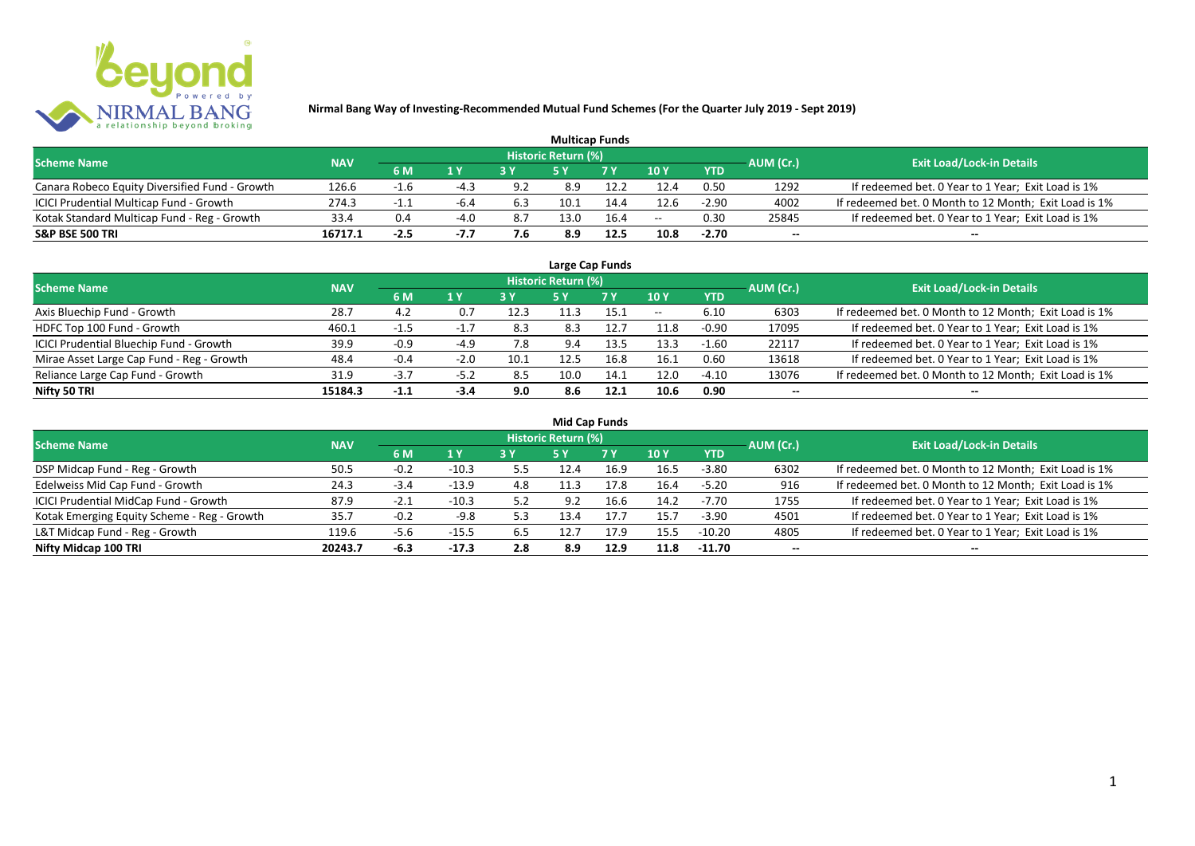

|                                                |            |        |        |     |                     | <b>Multicap Funds</b> |       |            |           |                                                       |
|------------------------------------------------|------------|--------|--------|-----|---------------------|-----------------------|-------|------------|-----------|-------------------------------------------------------|
| <b>Scheme Name</b>                             | <b>NAV</b> |        |        |     | Historic Return (%) |                       |       |            | AUM (Cr.) | <b>Exit Load/Lock-in Details</b>                      |
|                                                |            | 6 M    | 1 Y    | 2V  |                     | 7 V                   | 10 Y  | <b>YTD</b> |           |                                                       |
| Canara Robeco Equity Diversified Fund - Growth | 126.6      | $-1.6$ | -4.:   | 9.2 | 8.9                 | 12.2                  | 12.4  | 0.50       | 1292      | If redeemed bet. 0 Year to 1 Year; Exit Load is 1%    |
| ICICI Prudential Multicap Fund - Growth        | 274.3      | $-1.1$ | -6.4   | 6.3 |                     | 14.4                  | 12.6  | $-2.90$    | 4002      | If redeemed bet. 0 Month to 12 Month; Exit Load is 1% |
| Kotak Standard Multicap Fund - Reg - Growth    | 33.4       | 0.4    | $-4.0$ | 8.7 | 13.0                | 16.4                  | $- -$ | 0.30       | 25845     | If redeemed bet. 0 Year to 1 Year; Exit Load is 1%    |
| <b>S&amp;P BSE 500 TRI</b>                     | 16717.1    | $-2.5$ | -1.1   | 7.6 | 8.9                 | 12.5                  | 10.8  | $-2.70$    | $- -$     | $- -$                                                 |

|                                           |            |        |                |      |                            | Large Cap Funds |       |            |           |                                                       |
|-------------------------------------------|------------|--------|----------------|------|----------------------------|-----------------|-------|------------|-----------|-------------------------------------------------------|
| <b>Scheme Name</b>                        | <b>NAV</b> |        |                |      | <b>Historic Return (%)</b> |                 |       |            | AUM (Cr.) | <b>Exit Load/Lock-in Details</b>                      |
|                                           |            | 6 M    | 1 <sup>Y</sup> | 3 Y  | <b>5 Y</b>                 | 7Y              | 10Y   | <b>YTD</b> |           |                                                       |
| Axis Bluechip Fund - Growth               | 28.7       | 4.Z    | 0.7            | 12.3 | 11.3                       | 15.1            | $- -$ | 6.10       | 6303      | If redeemed bet. 0 Month to 12 Month; Exit Load is 1% |
| HDFC Top 100 Fund - Growth                | 460.1      | -1.5   | $-1.7$         | -8.3 | 8.3                        | 12.7            | 11.8  | $-0.90$    | 17095     | If redeemed bet. 0 Year to 1 Year; Exit Load is 1%    |
| ICICI Prudential Bluechip Fund - Growth   | 39.9       | $-0.9$ | -4.9           | 7.8  | 9.4                        | 13.5            | 13.3  | $-1.60$    | 22117     | If redeemed bet. 0 Year to 1 Year; Exit Load is 1%    |
| Mirae Asset Large Cap Fund - Reg - Growth | 48.4       | $-0.4$ | $-2.0$         | 10.1 | 12.5                       | 16.8            | 16.1  | 0.60       | 13618     | If redeemed bet. 0 Year to 1 Year; Exit Load is 1%    |
| Reliance Large Cap Fund - Growth          | 31.9       | $-3.7$ | $-5.2$         | 8.5  | 10.0                       | 14.1            | 12.0  | $-4.10$    | 13076     | If redeemed bet. 0 Month to 12 Month; Exit Load is 1% |
| Nifty 50 TRI                              | 15184.3    | $-1.1$ | $-3.4$         | 9.0  | 8.6                        | 12.1            | 10.6  | 0.90       | --        | $- -$                                                 |

| <b>Mid Cap Funds</b>                        |            |        |         |     |                     |      |      |            |                          |                                                       |  |  |  |
|---------------------------------------------|------------|--------|---------|-----|---------------------|------|------|------------|--------------------------|-------------------------------------------------------|--|--|--|
| <b>Scheme Name</b>                          | <b>NAV</b> |        |         |     | Historic Return (%) |      |      |            | AUM (Cr.)                | <b>Exit Load/Lock-in Details</b>                      |  |  |  |
|                                             |            | 6 M    | 1 Y     |     | 5 Y                 | 7 Y  | 10Y  | <b>YTD</b> |                          |                                                       |  |  |  |
| DSP Midcap Fund - Reg - Growth              | 50.5       | $-0.2$ | $-10.3$ | 5.5 | 12.4                | 16.9 | 16.5 | $-3.80$    | 6302                     | If redeemed bet. 0 Month to 12 Month; Exit Load is 1% |  |  |  |
| Edelweiss Mid Cap Fund - Growth             | 24.3       | $-3.4$ | $-13.9$ | 4.8 | 11.3                | 17.8 | 16.4 | $-5.20$    | 916                      | If redeemed bet. 0 Month to 12 Month; Exit Load is 1% |  |  |  |
| ICICI Prudential MidCap Fund - Growth       | 87.9       | $-2.1$ | $-10.3$ | 5.2 | 9.2                 | 16.6 | 14.2 | $-7.70$    | 1755                     | If redeemed bet. 0 Year to 1 Year; Exit Load is 1%    |  |  |  |
| Kotak Emerging Equity Scheme - Reg - Growth | 35.7       | $-0.2$ | $-9.8$  | 5.3 | 13.4                | 17.7 | 15.7 | $-3.90$    | 4501                     | If redeemed bet. 0 Year to 1 Year; Exit Load is 1%    |  |  |  |
| L&T Midcap Fund - Reg - Growth              | 119.6      | $-5.6$ | $-15.5$ | 6.5 | 12.7                | 17.9 | 15.5 | $-10.20$   | 4805                     | If redeemed bet. 0 Year to 1 Year; Exit Load is 1%    |  |  |  |
| Nifty Midcap 100 TRI                        | 20243.7    | -6.3   | $-17.3$ | 2.8 | 8.9                 | 12.9 | 11.8 | $-11.70$   | $\overline{\phantom{a}}$ | $- -$                                                 |  |  |  |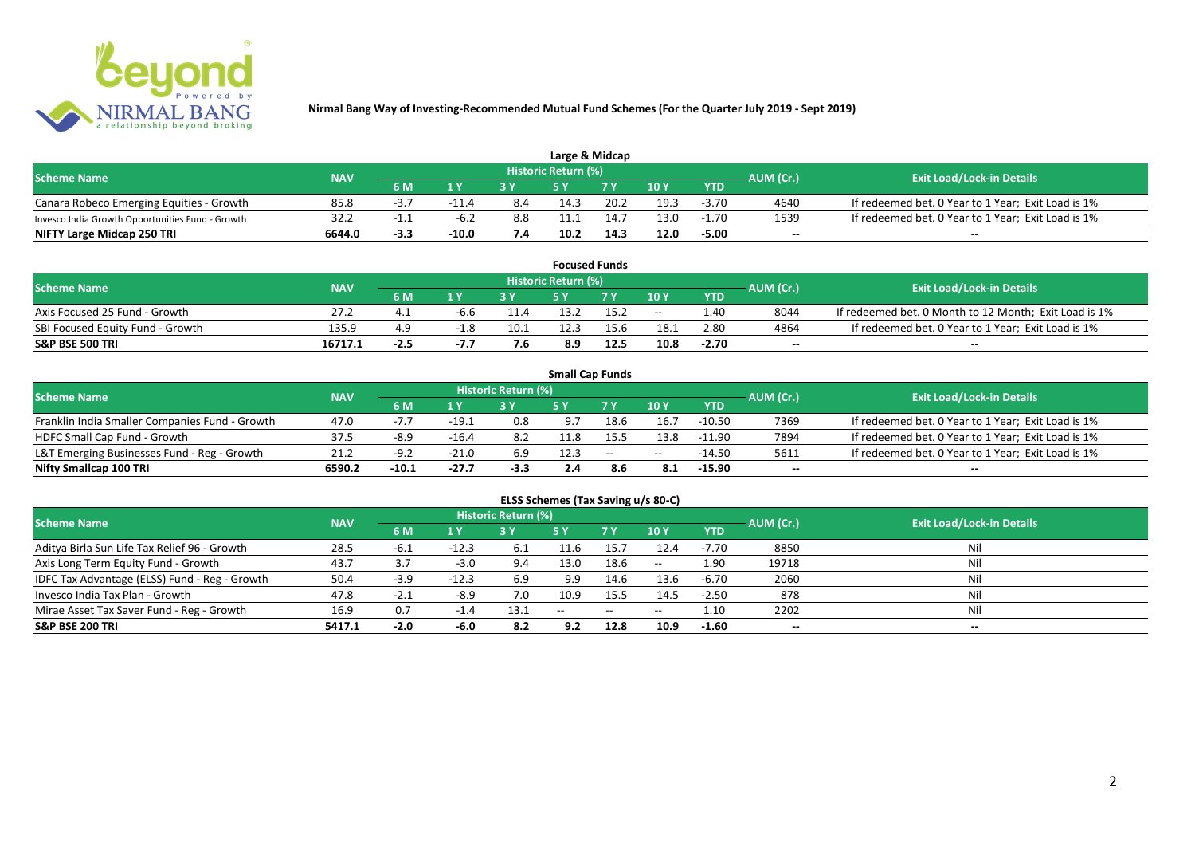

| Large & Midcap                                   |            |        |         |     |                            |                |      |            |           |                                                    |  |  |  |
|--------------------------------------------------|------------|--------|---------|-----|----------------------------|----------------|------|------------|-----------|----------------------------------------------------|--|--|--|
| <b>Scheme Name</b>                               | <b>NAV</b> |        |         |     | <b>Historic Return (%)</b> |                |      |            | AUM (Cr.) | <b>Exit Load/Lock-in Details</b>                   |  |  |  |
|                                                  |            | 6 M    | 1 V     |     |                            | 7 <sub>V</sub> | 10Y  | <b>YTD</b> |           |                                                    |  |  |  |
| Canara Robeco Emerging Equities - Growth         | 85.8       | -3.,   | $-11.4$ | 8.4 | 14.3                       | 20.2           | 19.3 | -3.70      | 4640      | If redeemed bet. 0 Year to 1 Year; Exit Load is 1% |  |  |  |
| Invesco India Growth Opportunities Fund - Growth | 32.2       | -1.1   | $-6.2$  | 8.8 | 11.1                       | 14.            | 13.0 | $-1.70$    | 1539      | If redeemed bet. 0 Year to 1 Year; Exit Load is 1% |  |  |  |
| NIFTY Large Midcap 250 TRI                       | 6644.0     | $-3.3$ | $-10.0$ | 7.4 | 10.2                       | 14.3           | 12.0 | $-5.00$    | $- -$     | $- -$                                              |  |  |  |

|                                  |            |      |        |      |                            | <b>Focused Funds</b> |       |            |                  |                                                       |
|----------------------------------|------------|------|--------|------|----------------------------|----------------------|-------|------------|------------------|-------------------------------------------------------|
| <b>Scheme Name</b>               | <b>NAV</b> |      |        |      | <b>Historic Return (%)</b> |                      |       |            | <b>AUM</b> (Cr.) | <b>Exit Load/Lock-in Details</b>                      |
|                                  |            | 6 M  | 1 V    |      |                            | 7 V                  | 10Y   | <b>YTD</b> |                  |                                                       |
| Axis Focused 25 Fund - Growth    | 27.2       | 4    |        | 11.4 | 13.2                       |                      | $- -$ | 1.40       | 8044             | If redeemed bet. 0 Month to 12 Month; Exit Load is 1% |
| SBI Focused Equity Fund - Growth | 135.9      | 4.9  |        | 10.1 | 12.3                       | 15.6                 | 18.1  | 2.80       | 4864             | If redeemed bet. 0 Year to 1 Year; Exit Load is 1%    |
| <b>S&amp;P BSE 500 TRI</b>       | 16717.1    | -2.5 | $-1.1$ | 7.6  | 8.9                        | 12.5                 | 10.8  | $-2.70$    | $- -$            | $- -$                                                 |

|                                                |            |         |         |                     | <b>Small Cap Funds</b> |                                                |       |            |           |                                                    |
|------------------------------------------------|------------|---------|---------|---------------------|------------------------|------------------------------------------------|-------|------------|-----------|----------------------------------------------------|
| <b>Scheme Name</b>                             | <b>NAV</b> |         |         | Historic Return (%) |                        |                                                |       |            | AUM (Cr.) | <b>Exit Load/Lock-in Details</b>                   |
|                                                |            | 6 M     | 1 Y     |                     |                        |                                                | 10Y   | <b>YTD</b> |           |                                                    |
| Franklin India Smaller Companies Fund - Growth | 47.0       | $-7.7$  | $-19.1$ | 0.8                 | 9.7                    | 18.6                                           | 16.7  | $-10.50$   | 7369      | If redeemed bet. 0 Year to 1 Year; Exit Load is 1% |
| HDFC Small Cap Fund - Growth                   | 37.5       | $-8.9$  | $-16.4$ | 8.2                 | 11.8                   |                                                | 13.8  | $-11.90$   | 7894      | If redeemed bet. 0 Year to 1 Year; Exit Load is 1% |
| L&T Emerging Businesses Fund - Reg - Growth    | 21.2       | $-9.2$  | $-21.0$ | 6.9                 | 12.3                   | $\hspace{0.1mm}-\hspace{0.1mm}-\hspace{0.1mm}$ | $- -$ | $-14.50$   | 5611      | If redeemed bet. 0 Year to 1 Year; Exit Load is 1% |
| Nifty Smallcap 100 TRI                         | 6590.2     | $-10.1$ | $-27.7$ | -3.3                |                        | 8.6                                            | 8.1   | $-15.90$   | $- -$     | $\overline{\phantom{a}}$                           |

# **ELSS Schemes (Tax Saving u/s 80-C)**

| <b>Scheme Name</b>                            | <b>NAV</b> |        |                | <b>Historic Return (%)</b> |       |      |         |            | AUM (Cr.)                | <b>Exit Load/Lock-in Details</b> |
|-----------------------------------------------|------------|--------|----------------|----------------------------|-------|------|---------|------------|--------------------------|----------------------------------|
|                                               |            | 6 M    | 1 <sub>Y</sub> |                            | 5 Y   | 7Y   | 10Y     | <b>YTD</b> |                          |                                  |
| Aditya Birla Sun Life Tax Relief 96 - Growth  | 28.5       | -6.1   | $-12.3$        | 6.1                        |       | 15.  | 12.4    | $-7.70$    | 8850                     | Nil                              |
| Axis Long Term Equity Fund - Growth           | 43.7       | 3.7    | $-3.0$         | 9.4                        | 13.0  | 18.6 | $-  \,$ | 1.90       | 19718                    |                                  |
| IDFC Tax Advantage (ELSS) Fund - Reg - Growth | 50.4       | $-3.9$ | $-12.3$        | 6.9                        | 9.9   | 14.6 | 13.6    | $-6.70$    | 2060                     |                                  |
| Invesco India Tax Plan - Growth               | 47.8       | $-2.1$ | -8.9           | 7.0                        | 10.9  | 15.5 | 14.5    | $-2.50$    | 878                      |                                  |
| Mirae Asset Tax Saver Fund - Reg - Growth     | 16.9       | 0.7    | -1.5           | 13.1                       | $- -$ | $-$  | $- -$   | 1.10       | 2202                     |                                  |
| <b>S&amp;P BSE 200 TRI</b>                    | 5417.1     | $-2.0$ | -6.0           | 8.2                        | 9.2   | 12.8 | 10.9    | $-1.60$    | $\overline{\phantom{a}}$ | $\overline{\phantom{a}}$         |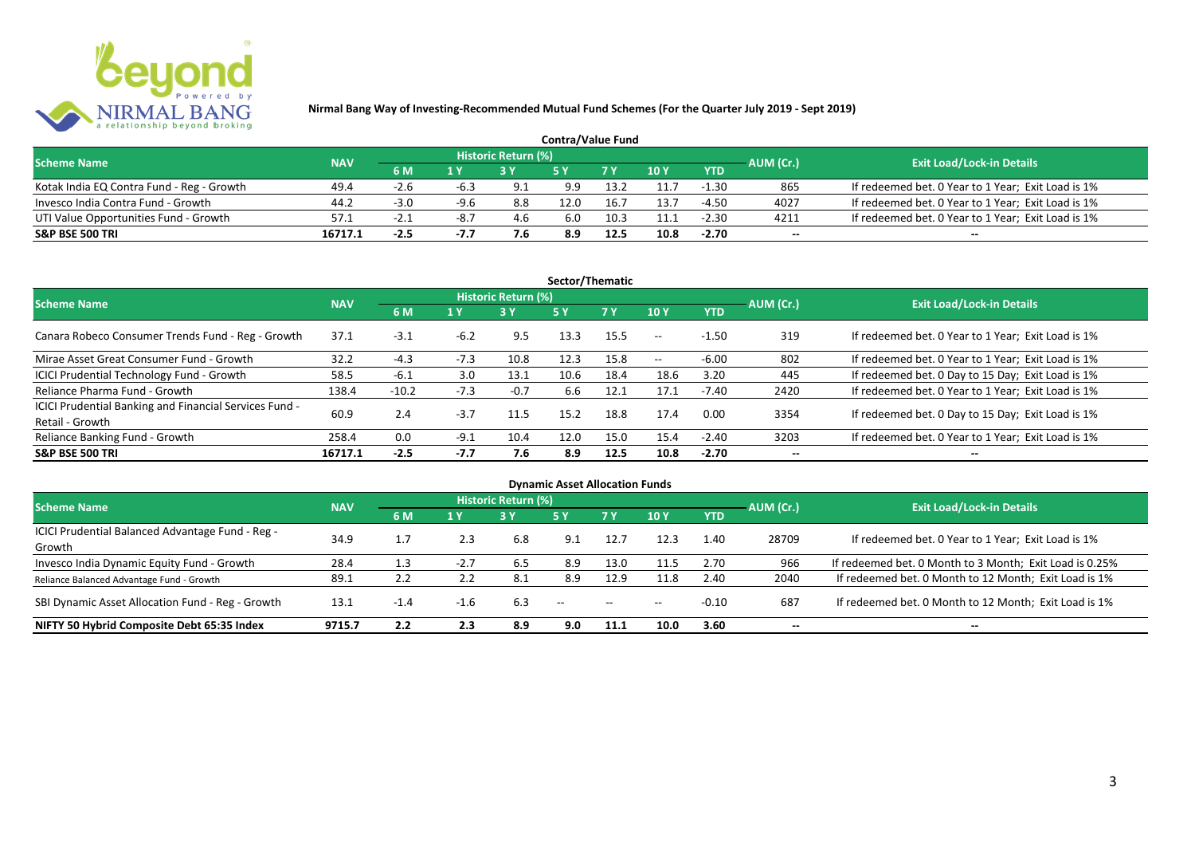

| <b>Contra/Value Fund</b>                  |            |        |        |                     |      |      |        |            |           |                                                    |  |  |  |
|-------------------------------------------|------------|--------|--------|---------------------|------|------|--------|------------|-----------|----------------------------------------------------|--|--|--|
| <b>Scheme Name</b>                        | <b>NAV</b> |        |        | Historic Return (%) |      |      |        |            | AUM (Cr.) | <b>Exit Load/Lock-in Details</b>                   |  |  |  |
|                                           |            | 6 M    | 1 Y    |                     |      | 7Y   | $-10V$ | <b>YTD</b> |           |                                                    |  |  |  |
| Kotak India EQ Contra Fund - Reg - Growth | 49.4       | $-2.6$ | -6.3   | 9.1                 | 9.9  | 13.2 | 11.7   | $-1.30$    | 865       | If redeemed bet. 0 Year to 1 Year; Exit Load is 1% |  |  |  |
| Invesco India Contra Fund - Growth        | 44.2       | $-3.0$ | $-9.6$ | 8.8                 | 12.0 | 16.  | 13.7   | -4.50      | 4027      | If redeemed bet. 0 Year to 1 Year; Exit Load is 1% |  |  |  |
| UTI Value Opportunities Fund - Growth     | 57.1       | -2.    | $-8.7$ | 4.6                 | 6.0  | 10.3 | 11.1   | $-2.30$    | 4211      | If redeemed bet. 0 Year to 1 Year; Exit Load is 1% |  |  |  |
| <b>S&amp;P BSE 500 TRI</b>                | 16717.1    | $-2.5$ | -1.1   | 7.6                 | 8.9  | 12.5 | 10.8   | $-2.70$    | $-$       | $- -$                                              |  |  |  |

| Sector/Thematic                                                           |            |         |        |                            |           |           |       |            |           |                                                    |  |  |  |
|---------------------------------------------------------------------------|------------|---------|--------|----------------------------|-----------|-----------|-------|------------|-----------|----------------------------------------------------|--|--|--|
| <b>Scheme Name</b>                                                        | <b>NAV</b> |         |        | <b>Historic Return (%)</b> |           |           |       |            | AUM (Cr.) | <b>Exit Load/Lock-in Details</b>                   |  |  |  |
|                                                                           |            | 6 M     | 1 Y    | 3Y                         | <b>5Y</b> | <b>7Y</b> | 10Y   | <b>YTD</b> |           |                                                    |  |  |  |
| Canara Robeco Consumer Trends Fund - Reg - Growth                         | 37.1       | $-3.1$  | $-6.2$ | 9.5                        | 13.3      | 15.5      | $- -$ | $-1.50$    | 319       | If redeemed bet. 0 Year to 1 Year; Exit Load is 1% |  |  |  |
| Mirae Asset Great Consumer Fund - Growth                                  | 32.2       | $-4.3$  | $-7.3$ | 10.8                       | 12.3      | 15.8      | $- -$ | $-6.00$    | 802       | If redeemed bet. 0 Year to 1 Year; Exit Load is 1% |  |  |  |
| <b>ICICI Prudential Technology Fund - Growth</b>                          | 58.5       | $-6.1$  | 3.0    | 13.1                       | 10.6      | 18.4      | 18.6  | 3.20       | 445       | If redeemed bet. 0 Day to 15 Day; Exit Load is 1%  |  |  |  |
| Reliance Pharma Fund - Growth                                             | 138.4      | $-10.2$ | $-7.3$ | $-0.7$                     | 6.6       | 12.1      | 17.1  | $-7.40$    | 2420      | If redeemed bet. 0 Year to 1 Year; Exit Load is 1% |  |  |  |
| ICICI Prudential Banking and Financial Services Fund -<br>Retail - Growth | 60.9       | 2.4     | $-3.7$ | 11.5                       | 15.2      | 18.8      | 17.4  | 0.00       | 3354      | If redeemed bet. 0 Day to 15 Day; Exit Load is 1%  |  |  |  |
| Reliance Banking Fund - Growth                                            | 258.4      | 0.0     | $-9.1$ | 10.4                       | 12.0      | 15.0      | 15.4  | $-2.40$    | 3203      | If redeemed bet. 0 Year to 1 Year; Exit Load is 1% |  |  |  |
| <b>S&amp;P BSE 500 TRI</b>                                                | 16717.1    | $-2.5$  | -7.7   | 7.6                        | 8.9       | 12.5      | 10.8  | $-2.70$    |           | --                                                 |  |  |  |

| <b>Dynamic Asset Allocation Funds</b>            |            |        |        |                            |               |            |       |            |                          |                                                         |  |  |  |
|--------------------------------------------------|------------|--------|--------|----------------------------|---------------|------------|-------|------------|--------------------------|---------------------------------------------------------|--|--|--|
| <b>Scheme Name</b>                               | <b>NAV</b> |        |        | <b>Historic Return (%)</b> |               |            |       |            | AUM (Cr.)                | <b>Exit Load/Lock-in Details</b>                        |  |  |  |
|                                                  |            | 6 M    | 1 Y    | 3Y                         | 5 Y           | <b>7Y</b>  | 10Y   | <b>YTD</b> |                          |                                                         |  |  |  |
| ICICI Prudential Balanced Advantage Fund - Reg - | 34.9       | 1.7    | 2.3    | 6.8                        | 9.1           | 12.7       | 12.3  | 1.40       | 28709                    | If redeemed bet. 0 Year to 1 Year; Exit Load is 1%      |  |  |  |
| Growth                                           |            |        |        |                            |               |            |       |            |                          |                                                         |  |  |  |
| Invesco India Dynamic Equity Fund - Growth       | 28.4       | 1.3    | $-2.7$ | 6.5                        | 8.9           | 13.0       | 11.5  | 2.70       | 966                      | If redeemed bet. 0 Month to 3 Month; Exit Load is 0.25% |  |  |  |
| Reliance Balanced Advantage Fund - Growth        | 89.1       | 2.2    |        | 8.1                        | 8.9           | 12.9       | 11.8  | 2.40       | 2040                     | If redeemed bet. 0 Month to 12 Month; Exit Load is 1%   |  |  |  |
| SBI Dynamic Asset Allocation Fund - Reg - Growth | 13.1       | $-1.4$ | $-1.6$ | 6.3                        | $\sim$ $\sim$ | $\sim$ $-$ | $- -$ | $-0.10$    | 687                      | If redeemed bet. 0 Month to 12 Month; Exit Load is 1%   |  |  |  |
| NIFTY 50 Hybrid Composite Debt 65:35 Index       | 9715.7     | 2.2    | 2.3    | 8.9                        | 9.0           | 11.1       | 10.0  | 3.60       | $\overline{\phantom{a}}$ | $- -$                                                   |  |  |  |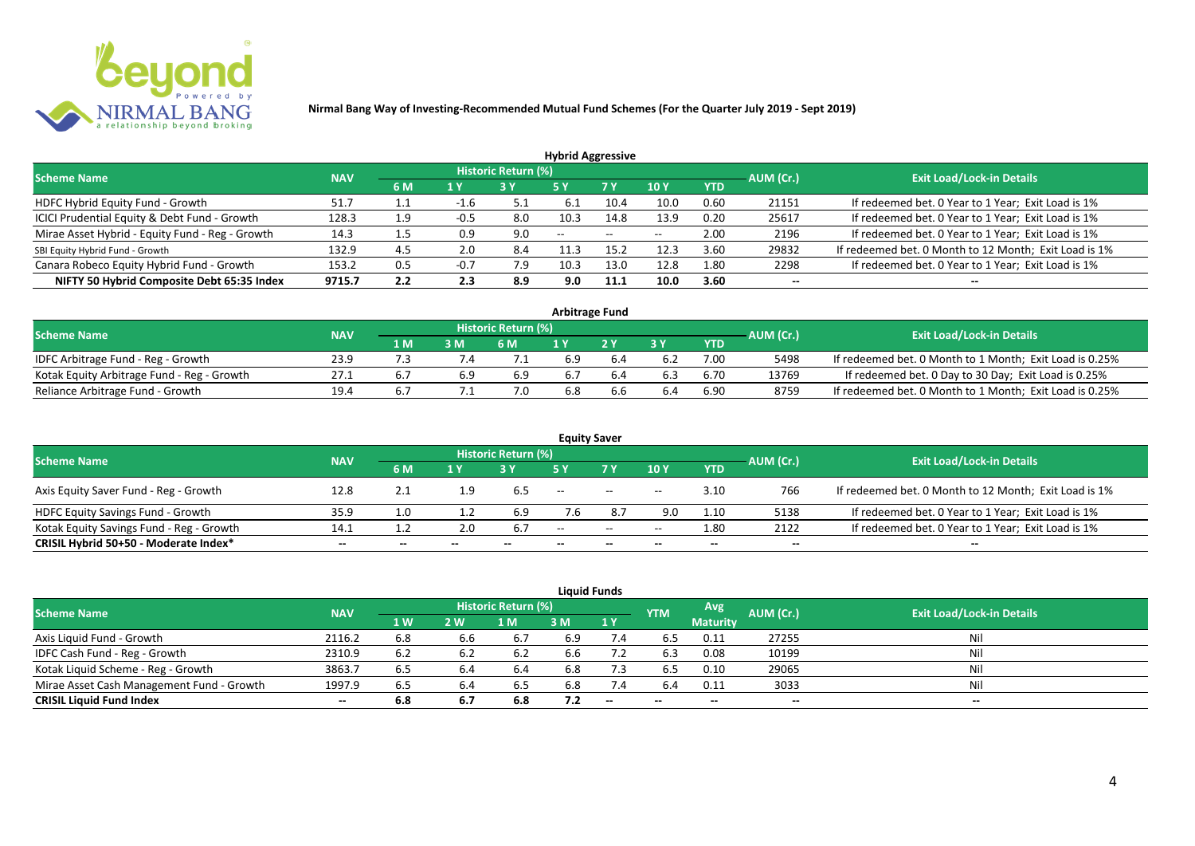

|                                                 |            |     |        |                            | <b>Hybrid Aggressive</b> |                          |                          |            |                          |                                                       |
|-------------------------------------------------|------------|-----|--------|----------------------------|--------------------------|--------------------------|--------------------------|------------|--------------------------|-------------------------------------------------------|
| <b>Scheme Name</b>                              | <b>NAV</b> |     |        | <b>Historic Return (%)</b> |                          |                          |                          |            | AUM (Cr.)                | <b>Exit Load/Lock-in Details</b>                      |
|                                                 |            | 6 M | 1 Y    |                            | 5 Y                      | 7 Y                      | 10Y                      | <b>YTD</b> |                          |                                                       |
| HDFC Hybrid Equity Fund - Growth                | 51.7       | ᆠᆞᆠ | -1.0   | -5.1                       | 6.1                      | 10.4                     | 10.0                     | 0.60       | 21151                    | If redeemed bet. 0 Year to 1 Year; Exit Load is 1%    |
| ICICI Prudential Equity & Debt Fund - Growth    | 128.3      | 1.9 | $-0.5$ | 8.0                        | 10.3                     | 14.8                     | 13.9                     | 0.20       | 25617                    | If redeemed bet. 0 Year to 1 Year; Exit Load is 1%    |
| Mirae Asset Hybrid - Equity Fund - Reg - Growth | 14.3       |     | 0.9    | 9.0                        | $\overline{\phantom{a}}$ | $\overline{\phantom{a}}$ | $\overline{\phantom{m}}$ | 2.00       | 2196                     | If redeemed bet. 0 Year to 1 Year; Exit Load is 1%    |
| SBI Equity Hybrid Fund - Growth                 | 132.9      | 4.5 | 2.0    | 8.4                        | 11.3                     | 15.2                     | 12.3                     | 3.60       | 29832                    | If redeemed bet. 0 Month to 12 Month; Exit Load is 1% |
| Canara Robeco Equity Hybrid Fund - Growth       | 153.2      | 0.5 | $-0.7$ | 7.9                        | 10.3                     | 13.0                     | 12.8                     | 1.80       | 2298                     | If redeemed bet. 0 Year to 1 Year; Exit Load is 1%    |
| NIFTY 50 Hybrid Composite Debt 65:35 Index      | 9715.7     | 2.2 | 2.3    | 8.9                        | 9.0                      | 11.1                     | 10.0                     | 3.60       | $\overline{\phantom{a}}$ | $- -$                                                 |

|                                            |            |     |     |                            |     | <b>Arbitrage Fund</b> |    |            |           |                                                         |
|--------------------------------------------|------------|-----|-----|----------------------------|-----|-----------------------|----|------------|-----------|---------------------------------------------------------|
| <b>Scheme Name</b>                         | <b>NAV</b> |     |     | <b>Historic Return (%)</b> |     |                       |    |            | AUM (Cr.) | <b>Exit Load/Lock-in Details</b>                        |
|                                            |            | 1 M | 3 M | 6 M                        |     | 2V                    | 2V | <b>YTD</b> |           |                                                         |
| IDFC Arbitrage Fund - Reg - Growth         | 23.9       |     |     |                            | 6.9 |                       |    | 7.00       | 5498      | If redeemed bet. 0 Month to 1 Month; Exit Load is 0.25% |
| Kotak Equity Arbitrage Fund - Reg - Growth | 27.1       | ь.  | 6.9 | 6.9                        | 6.7 |                       |    | 6.70       | 13769     | If redeemed bet. 0 Day to 30 Day; Exit Load is 0.25%    |
| Reliance Arbitrage Fund - Growth           | 19.4       | ь.  |     | 7.0                        | 6.8 |                       | .4 | 6.90       | 8759      | If redeemed bet. 0 Month to 1 Month; Exit Load is 0.25% |

|                                          |            |         |                |                     | <b>Equity Saver</b> |                                                |       |            |           |                                                       |
|------------------------------------------|------------|---------|----------------|---------------------|---------------------|------------------------------------------------|-------|------------|-----------|-------------------------------------------------------|
| <b>Scheme Name</b>                       | <b>NAV</b> |         |                | Historic Return (%) |                     |                                                |       |            |           | <b>Exit Load/Lock-in Details</b>                      |
|                                          |            | 6 M     | $4 \mathrm{W}$ |                     | <b>5 Y</b>          | <b>7 Y</b>                                     | 10Y   | <b>YTD</b> | AUM (Cr.) |                                                       |
| Axis Equity Saver Fund - Reg - Growth    | 12.8       | 2.1     |                | 6.5                 | $- -$               | $\overline{\phantom{a}}$                       | $- -$ | 3.10       | 766       | If redeemed bet. 0 Month to 12 Month; Exit Load is 1% |
| <b>HDFC Equity Savings Fund - Growth</b> | 35.9       |         |                | 6.9                 | 7.6                 | 8.7                                            | 9.0   | 1.10       | 5138      | If redeemed bet. 0 Year to 1 Year; Exit Load is 1%    |
| Kotak Equity Savings Fund - Reg - Growth | 14.1       | <b></b> | 2.0            | 6.7                 | $\sim$ $\sim$       | $\hspace{0.1mm}-\hspace{0.1mm}-\hspace{0.1mm}$ | $- -$ | 1.80       | 2122      | If redeemed bet. 0 Year to 1 Year; Exit Load is 1%    |
| CRISIL Hybrid 50+50 - Moderate Index*    | $- -$      | $- -$   |                |                     |                     |                                                |       | $- -$      |           | $- -$                                                 |

| <b>Liquid Funds</b>                       |                                  |                |     |      |     |     |            |                 |           |       |  |  |  |  |
|-------------------------------------------|----------------------------------|----------------|-----|------|-----|-----|------------|-----------------|-----------|-------|--|--|--|--|
| <b>Scheme Name</b>                        | <b>Exit Load/Lock-in Details</b> |                |     |      |     |     |            |                 |           |       |  |  |  |  |
|                                           | <b>NAV</b>                       | 1 <sub>W</sub> | 2 W | 1 M  | 3 M | 1Y  | <b>YTM</b> | <b>Maturity</b> | AUM (Cr.) |       |  |  |  |  |
| Axis Liquid Fund - Growth                 | 2116.2                           | 6.8            | 6.6 | 6.7  | 6.9 | 7.4 | 6.5        | 0.11            | 27255     | Nil   |  |  |  |  |
| IDFC Cash Fund - Reg - Growth             | 2310.9                           | 6.2            |     | -6.2 | 6.6 |     | 6.3        | 0.08            | 10199     | Nil   |  |  |  |  |
| Kotak Liquid Scheme - Reg - Growth        | 3863.7                           | 6.5            | 6.4 | 6.4  | 6.8 | 7.3 | 6.5        | 0.10            | 29065     | Nil   |  |  |  |  |
| Mirae Asset Cash Management Fund - Growth | 1997.9                           | 6.5            | 6.4 | 6.5  | 6.8 | 7.4 | 6.4        | 0.11            | 3033      | Nil   |  |  |  |  |
| <b>CRISIL Liquid Fund Index</b>           | $- -$                            | 6.8            | 6.7 | 6.8  | 7.2 | $-$ | $- -$      | $- -$           | $- -$     | $- -$ |  |  |  |  |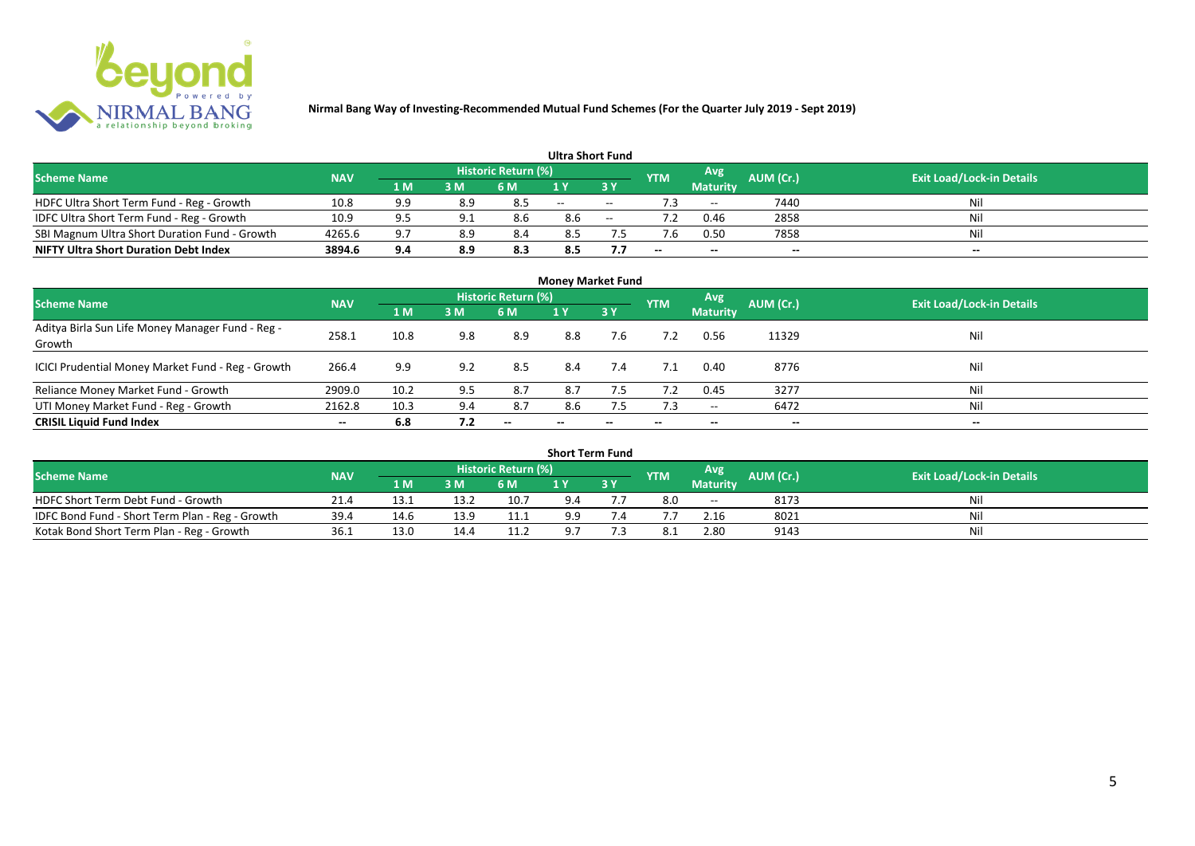

|                                               |            |     |     |                            | <b>Ultra Short Fund</b> |        |            |                 |                  |                                  |
|-----------------------------------------------|------------|-----|-----|----------------------------|-------------------------|--------|------------|-----------------|------------------|----------------------------------|
| <b>Scheme Name</b>                            | <b>NAV</b> |     |     | <b>Historic Return (%)</b> |                         |        | <b>YTM</b> | Avg             | <b>AUM (Cr.)</b> | <b>Exit Load/Lock-in Details</b> |
|                                               |            | 1 M | 3 M | 6 M                        | 1 Y                     |        |            | <b>Maturity</b> |                  |                                  |
| HDFC Ultra Short Term Fund - Reg - Growth     | 10.8       | 9.9 | 8.9 |                            | $\sim$ $\sim$           | $\sim$ |            | $ -$            | 7440             | Nil                              |
| IDFC Ultra Short Term Fund - Reg - Growth     | 10.9       | 9.5 |     | 8.6                        | 8.6                     | $\sim$ |            | 0.46            | 2858             | Nil                              |
| SBI Magnum Ultra Short Duration Fund - Growth | 4265.6     | 9.7 | 8.9 | 8.4                        | 8.5                     |        |            | 0.50            | 7858             | Nil                              |
| <b>NIFTY Ultra Short Duration Debt Index</b>  | 3894.6     | 9.4 | 8.9 | 8.3                        | 8.5                     |        | --         | $- -$           | $- -$            | $\overline{\phantom{a}}$         |

| <b>Money Market Fund</b>                                   |            |      |     |                     |                          |     |            |                     |           |                                  |  |  |  |  |
|------------------------------------------------------------|------------|------|-----|---------------------|--------------------------|-----|------------|---------------------|-----------|----------------------------------|--|--|--|--|
| <b>Scheme Name</b>                                         | <b>NAV</b> |      |     | Historic Return (%) |                          |     | <b>YTM</b> | Avg                 | AUM (Cr.) | <b>Exit Load/Lock-in Details</b> |  |  |  |  |
|                                                            |            | 1 M  | 3M  | 6 M                 | 1Y                       | 3 Y |            | <b>Maturity</b>     |           |                                  |  |  |  |  |
| Aditya Birla Sun Life Money Manager Fund - Reg -<br>Growth | 258.1      | 10.8 | 9.8 | 8.9                 | 8.8                      | 7.6 |            | 0.56                | 11329     | Nil                              |  |  |  |  |
| ICICI Prudential Money Market Fund - Reg - Growth          | 266.4      | 9.9  | 9.2 | 8.5                 | 8.4                      | 7.4 | 7.1        | 0.40                | 8776      | Nil                              |  |  |  |  |
| Reliance Money Market Fund - Growth                        | 2909.0     | 10.2 | 9.5 | 8.7                 | 8.7                      | 7.5 | 7.2        | 0.45                | 3277      | Nil                              |  |  |  |  |
| UTI Money Market Fund - Reg - Growth                       | 2162.8     | 10.3 | 9.4 | 8.7                 | 8.6                      | 7.5 | 7.3        | $\hspace{0.05cm} -$ | 6472      | Nil                              |  |  |  |  |
| <b>CRISIL Liquid Fund Index</b>                            | $- -$      | 6.8  | 7.2 | $- -$               | $\overline{\phantom{a}}$ | --  | $- -$      | $- -$               | $- -$     | $\overline{\phantom{a}}$         |  |  |  |  |

| <b>Short Term Fund</b>                          |            |      |      |                            |     |    |            |                 |           |                                  |  |  |  |  |
|-------------------------------------------------|------------|------|------|----------------------------|-----|----|------------|-----------------|-----------|----------------------------------|--|--|--|--|
| <b>Scheme Name</b>                              | <b>NAV</b> |      |      | <b>Historic Return (%)</b> |     |    | <b>YTM</b> | Avg             | AUM (Cr.) | <b>Exit Load/Lock-in Details</b> |  |  |  |  |
|                                                 |            | 1 M  | 3M   | 6 M                        |     | 3Y |            | <b>Maturity</b> |           |                                  |  |  |  |  |
| HDFC Short Term Debt Fund - Growth              | 21.4       | ن.13 | 13.2 | 10.7                       | 9.4 |    | 8.0        | $- -$           | 8173      | Nil                              |  |  |  |  |
| IDFC Bond Fund - Short Term Plan - Reg - Growth | 39.4       | 14.6 | 13.9 | 11.1                       | 9.9 |    |            | 2.16            | 8021      | Nil                              |  |  |  |  |
| Kotak Bond Short Term Plan - Reg - Growth       | 36.1       | 13.0 | 14.4 | 11.2                       | ۹7  |    |            | 2.80            | 9143      | Nil                              |  |  |  |  |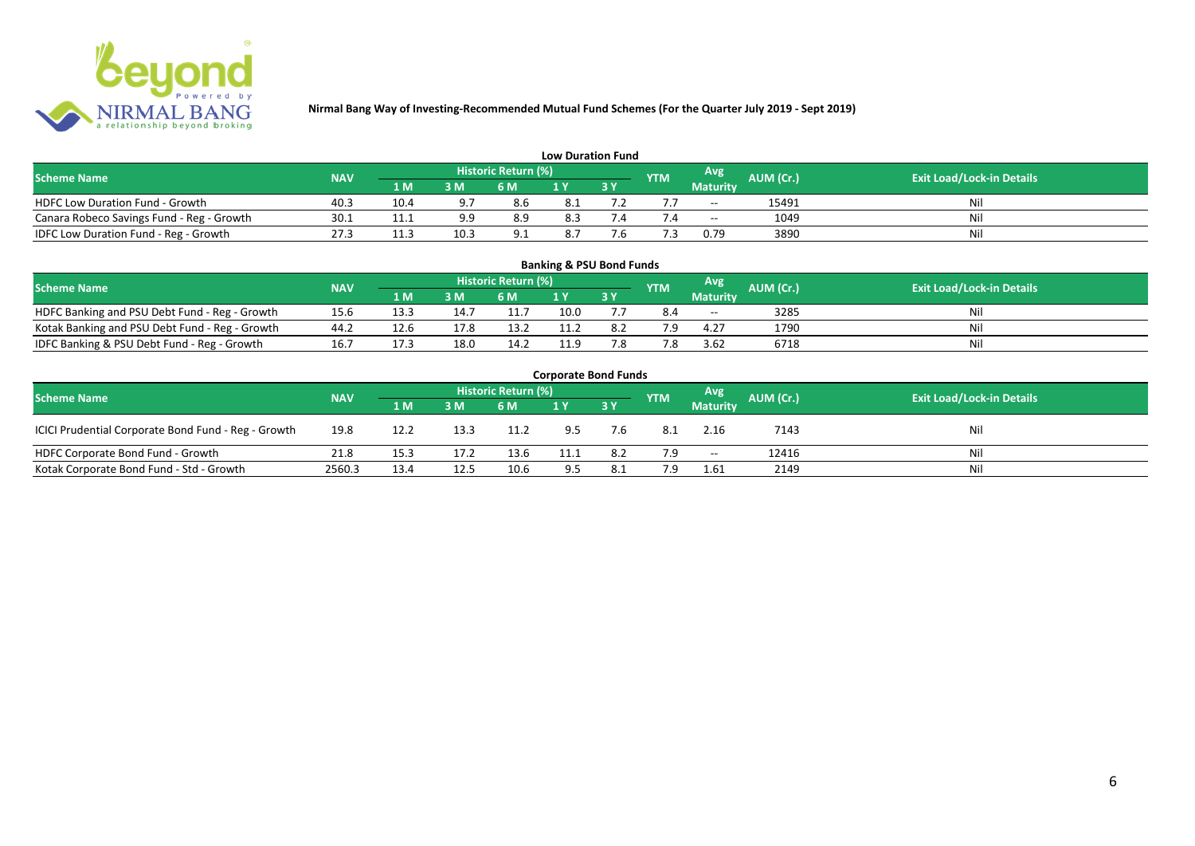

| <b>Low Duration Fund</b>                  |            |                               |       |                            |     |  |            |                          |           |                                  |  |  |  |  |
|-------------------------------------------|------------|-------------------------------|-------|----------------------------|-----|--|------------|--------------------------|-----------|----------------------------------|--|--|--|--|
| <b>Scheme Name</b>                        | <b>NAV</b> |                               |       | <b>Historic Return (%)</b> |     |  | <b>YTM</b> | Avg                      | AUM (Cr.) | <b>Exit Load/Lock-in Details</b> |  |  |  |  |
|                                           |            | 1 M                           | 3 M   | 6 M                        | 1 Y |  |            | Maturity                 |           |                                  |  |  |  |  |
| <b>HDFC Low Duration Fund - Growth</b>    | 40.3       | 10.4                          | - റ – | 8.6                        | 8.1 |  |            | $-$                      | 15491     | Nil                              |  |  |  |  |
| Canara Robeco Savings Fund - Reg - Growth | 30.1       | 11.1                          | a a   | 8.9                        | 8.3 |  |            | $\overline{\phantom{a}}$ | 1049      | Nil                              |  |  |  |  |
| IDFC Low Duration Fund - Reg - Growth     | 27.3       | 11 <sup>2</sup><br><b>TT:</b> | 10.3  | 9.1                        | 8.7 |  |            | 0.79                     | 3890      | Nil                              |  |  |  |  |

| <b>Banking &amp; PSU Bond Funds</b>            |            |      |      |                            |      |             |            |                 |           |                                  |  |  |  |  |
|------------------------------------------------|------------|------|------|----------------------------|------|-------------|------------|-----------------|-----------|----------------------------------|--|--|--|--|
| <b>Scheme Name</b>                             | <b>NAV</b> |      |      | <b>Historic Return (%)</b> |      |             | <b>YTM</b> | Avg             | AUM (Cr.) | <b>Exit Load/Lock-in Details</b> |  |  |  |  |
|                                                |            | 1 M  | 3 M  | 6 M                        |      | <b>73 Y</b> |            | <b>Maturity</b> |           |                                  |  |  |  |  |
| HDFC Banking and PSU Debt Fund - Reg - Growth  | 15.6       | 13.3 | 14.7 | 11.7                       | 10.0 |             | 8.4        | $- -$           | 3285      | Ni                               |  |  |  |  |
| Kotak Banking and PSU Debt Fund - Reg - Growth | 44.2       | 12.6 | 17.8 | 13.2                       |      | 8.2         | 7 Q        | 4.27            | 1790      | Ni                               |  |  |  |  |
| IDFC Banking & PSU Debt Fund - Reg - Growth    | 16.7       | 17.3 | 18.0 | 14.2                       | 11.9 | 7.8         |            | 3.62            | 6718      | Ni                               |  |  |  |  |

| <b>Corporate Bond Funds</b>                         |                                  |      |      |      |      |      |            |                          |           |     |  |  |  |  |
|-----------------------------------------------------|----------------------------------|------|------|------|------|------|------------|--------------------------|-----------|-----|--|--|--|--|
| <b>Scheme Name</b>                                  | <b>Exit Load/Lock-in Details</b> |      |      |      |      |      |            |                          |           |     |  |  |  |  |
|                                                     | <b>NAV</b>                       | 1 M  | 3 M  | 6 M  |      | 73 Y | <b>YTM</b> | <b>Maturity</b>          | AUM (Cr.) |     |  |  |  |  |
| ICICI Prudential Corporate Bond Fund - Reg - Growth | 19.8                             | 12.2 | 13.3 | 11.2 | 9.5  | 7.6  | -8.1       | 2.16                     | 7143      | Nil |  |  |  |  |
| HDFC Corporate Bond Fund - Growth                   | 21.8                             | 15.3 | 17.2 | 13.6 | 11.1 | 8.2  | 7.9        | $\overline{\phantom{a}}$ | 12416     | Nil |  |  |  |  |
| Kotak Corporate Bond Fund - Std - Growth            | 2560.3                           | 13.4 | 12.5 | 10.6 | 9.5  | 8.1  | 7.9        | 1.61                     | 2149      | Nil |  |  |  |  |